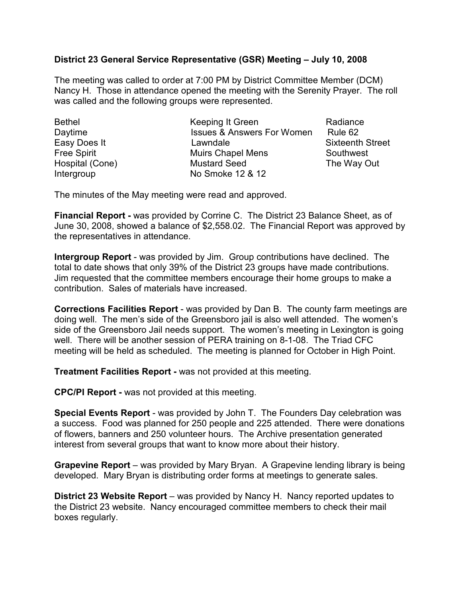## District 23 General Service Representative (GSR) Meeting – July 10, 2008

The meeting was called to order at 7:00 PM by District Committee Member (DCM) Nancy H. Those in attendance opened the meeting with the Serenity Prayer. The roll was called and the following groups were represented.

Bethel **Keeping It Green** Radiance Daytime **ISSUES & Answers For Women** Rule 62 Easy Does It **Subset Contract Contract Contract Contract Contract Contract Contract Contract Contract Contract Contract Contract Contract Contract Contract Contract Contract Contract Contract Contract Contract Contract Con** Free Spirit **Muirs Chapel Mens** Southwest Hospital (Cone) **Mustard Seed** The Way Out Intergroup No Smoke 12 & 12

The minutes of the May meeting were read and approved.

Financial Report - was provided by Corrine C. The District 23 Balance Sheet, as of June 30, 2008, showed a balance of \$2,558.02. The Financial Report was approved by the representatives in attendance.

Intergroup Report - was provided by Jim. Group contributions have declined. The total to date shows that only 39% of the District 23 groups have made contributions. Jim requested that the committee members encourage their home groups to make a contribution. Sales of materials have increased.

Corrections Facilities Report - was provided by Dan B. The county farm meetings are doing well. The men's side of the Greensboro jail is also well attended. The women's side of the Greensboro Jail needs support. The women's meeting in Lexington is going well. There will be another session of PERA training on 8-1-08. The Triad CFC meeting will be held as scheduled. The meeting is planned for October in High Point.

Treatment Facilities Report - was not provided at this meeting.

CPC/PI Report - was not provided at this meeting.

Special Events Report - was provided by John T. The Founders Day celebration was a success. Food was planned for 250 people and 225 attended. There were donations of flowers, banners and 250 volunteer hours. The Archive presentation generated interest from several groups that want to know more about their history.

Grapevine Report – was provided by Mary Bryan. A Grapevine lending library is being developed. Mary Bryan is distributing order forms at meetings to generate sales.

District 23 Website Report – was provided by Nancy H. Nancy reported updates to the District 23 website. Nancy encouraged committee members to check their mail boxes regularly.